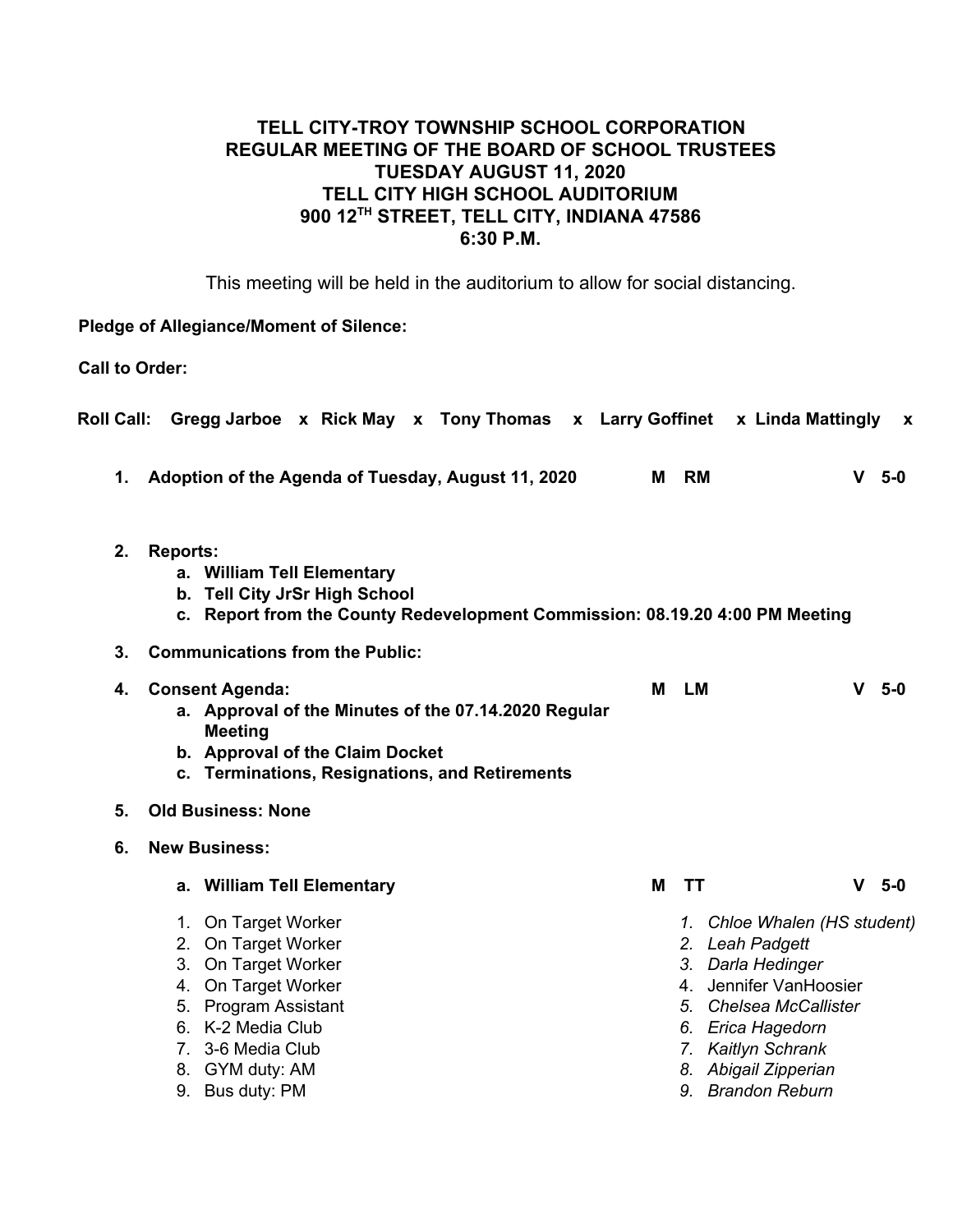# **TELL CITY-TROY TOWNSHIP SCHOOL CORPORATION REGULAR MEETING OF THE BOARD OF SCHOOL TRUSTEES TUESDAY AUGUST 11, 2020 TELL CITY HIGH SCHOOL AUDITORIUM 900 12TH STREET, TELL CITY, INDIANA 47586 6:30 P.M.**

This meeting will be held in the auditorium to allow for social distancing.

#### **Pledge of Allegiance/Moment of Silence:**

**Call to Order:**

| <b>Roll Call:</b> |                                                                                                                                                                |                                                                                                                                                                                               |                                                                                                                                           |  |  |  |  |   |           | Gregg Jarboe x Rick May x Tony Thomas x Larry Goffinet x Linda Mattingly                                                                                                                                         |              | X     |
|-------------------|----------------------------------------------------------------------------------------------------------------------------------------------------------------|-----------------------------------------------------------------------------------------------------------------------------------------------------------------------------------------------|-------------------------------------------------------------------------------------------------------------------------------------------|--|--|--|--|---|-----------|------------------------------------------------------------------------------------------------------------------------------------------------------------------------------------------------------------------|--------------|-------|
| 1.                |                                                                                                                                                                |                                                                                                                                                                                               | Adoption of the Agenda of Tuesday, August 11, 2020                                                                                        |  |  |  |  | М | RM        |                                                                                                                                                                                                                  | <b>V</b>     | $5-0$ |
| 2.                | <b>Reports:</b><br>a. William Tell Elementary<br>b. Tell City JrSr High School<br>c. Report from the County Redevelopment Commission: 08.19.20 4:00 PM Meeting |                                                                                                                                                                                               |                                                                                                                                           |  |  |  |  |   |           |                                                                                                                                                                                                                  |              |       |
| 3.                | <b>Communications from the Public:</b>                                                                                                                         |                                                                                                                                                                                               |                                                                                                                                           |  |  |  |  |   |           |                                                                                                                                                                                                                  |              |       |
| 4.                |                                                                                                                                                                | <b>Consent Agenda:</b><br><b>Meeting</b>                                                                                                                                                      | a. Approval of the Minutes of the 07.14.2020 Regular<br>b. Approval of the Claim Docket<br>c. Terminations, Resignations, and Retirements |  |  |  |  | M | <b>LM</b> |                                                                                                                                                                                                                  | v.           | $5-0$ |
| 5.                | <b>Old Business: None</b>                                                                                                                                      |                                                                                                                                                                                               |                                                                                                                                           |  |  |  |  |   |           |                                                                                                                                                                                                                  |              |       |
| 6.                |                                                                                                                                                                | <b>New Business:</b>                                                                                                                                                                          |                                                                                                                                           |  |  |  |  |   |           |                                                                                                                                                                                                                  |              |       |
|                   |                                                                                                                                                                |                                                                                                                                                                                               | a. William Tell Elementary                                                                                                                |  |  |  |  | М | <b>TT</b> |                                                                                                                                                                                                                  | $\mathbf{V}$ | $5-0$ |
|                   | 7.                                                                                                                                                             | 1. On Target Worker<br>2. On Target Worker<br>3. On Target Worker<br>4. On Target Worker<br>5. Program Assistant<br>6. K-2 Media Club<br>3-6 Media Club<br>8. GYM duty: AM<br>9. Bus duty: PM |                                                                                                                                           |  |  |  |  |   |           | 1. Chloe Whalen (HS student)<br>2. Leah Padgett<br>3. Darla Hedinger<br>4. Jennifer VanHoosier<br>5. Chelsea McCallister<br>6. Erica Hagedorn<br>7. Kaitlyn Schrank<br>8. Abigail Zipperian<br>9. Brandon Reburn |              |       |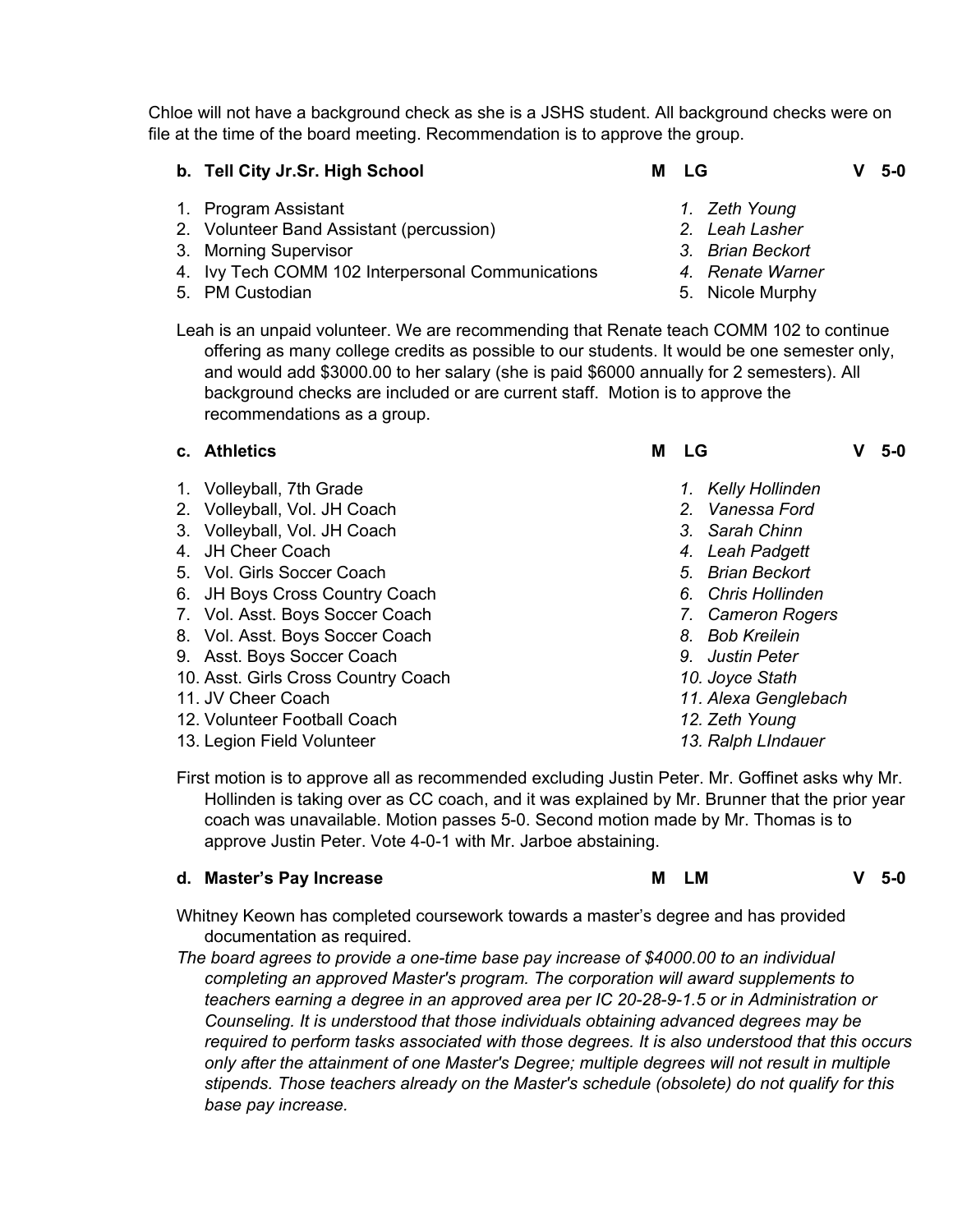Chloe will not have a background check as she is a JSHS student. All background checks were on file at the time of the board meeting. Recommendation is to approve the group.

- **b. Tell City Jr.Sr. High School M LG V 5-0**
- 1. Program Assistant
- 2. Volunteer Band Assistant (percussion)
- 3. Morning Supervisor
- 4. Ivy Tech COMM 102 Interpersonal Communications
- 5. PM Custodian
- *1. Zeth Young*
- *2. Leah Lasher*
- *3. Brian Beckort*
- *4. Renate Warner*
- 5. Nicole Murphy
- Leah is an unpaid volunteer. We are recommending that Renate teach COMM 102 to continue offering as many college credits as possible to our students. It would be one semester only, and would add \$3000.00 to her salary (she is paid \$6000 annually for 2 semesters). All background checks are included or are current staff. Motion is to approve the recommendations as a group.

- 1. Volleyball, 7th Grade
- 2. Volleyball, Vol. JH Coach
- 3. Volleyball, Vol. JH Coach
- 4. JH Cheer Coach
- 5. Vol. Girls Soccer Coach
- 6. JH Boys Cross Country Coach
- 7. Vol. Asst. Boys Soccer Coach
- 8. Vol. Asst. Boys Soccer Coach
- 9. Asst. Boys Soccer Coach
- 10. Asst. Girls Cross Country Coach
- 11. JV Cheer Coach
- 12. Volunteer Football Coach
- 13. Legion Field Volunteer
- **c. Athletics M LG V 5-0**
	- *1. Kelly Hollinden*
	- *2. Vanessa Ford*
	- *3. Sarah Chinn*
	- *4. Leah Padgett*
	- *5. Brian Beckort*
	- *6. Chris Hollinden*
	- *7. Cameron Rogers*
	- *8. Bob Kreilein*
	- *9. Justin Peter*
	- *10. Joyce Stath*
	- *11. Alexa Genglebach*
	- *12. Zeth Young*
	- *13. Ralph LIndauer*

First motion is to approve all as recommended excluding Justin Peter. Mr. Goffinet asks why Mr. Hollinden is taking over as CC coach, and it was explained by Mr. Brunner that the prior year coach was unavailable. Motion passes 5-0. Second motion made by Mr. Thomas is to approve Justin Peter. Vote 4-0-1 with Mr. Jarboe abstaining.

#### **d. Master's Pay Increase M LM V 5-0**

Whitney Keown has completed coursework towards a master's degree and has provided

- documentation as required.
- *The board agrees to provide a one-time base pay increase of \$4000.00 to an individual completing an approved Master's program. The corporation will award supplements to teachers earning a degree in an approved area per IC 20-28-9-1.5 or in Administration or Counseling. It is understood that those individuals obtaining advanced degrees may be required to perform tasks associated with those degrees. It is also understood that this occurs only after the attainment of one Master's Degree; multiple degrees will not result in multiple stipends. Those teachers already on the Master's schedule (obsolete) do not qualify for this base pay increase.*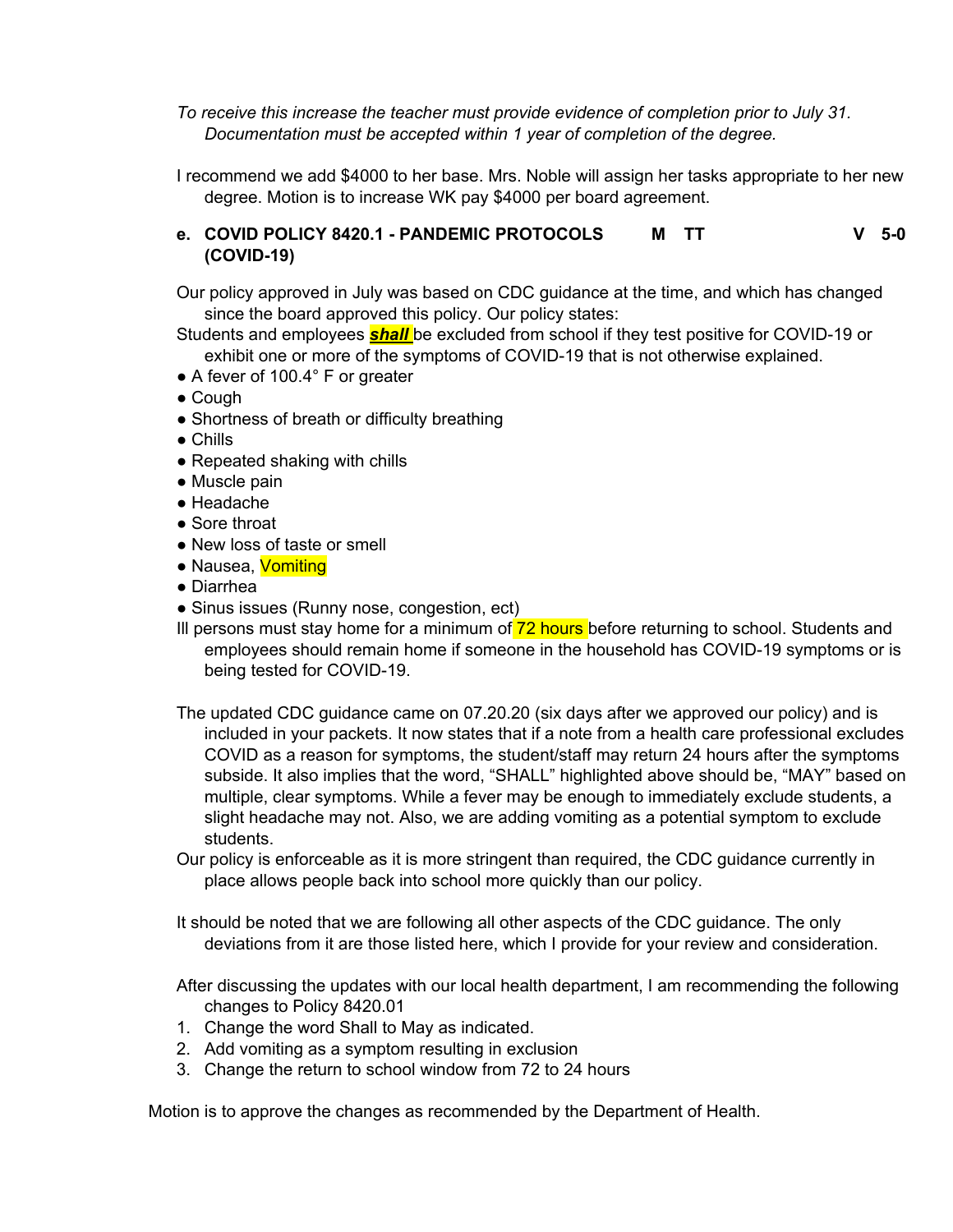*To receive this increase the teacher must provide evidence of completion prior to July 31. Documentation must be accepted within 1 year of completion of the degree.*

I recommend we add \$4000 to her base. Mrs. Noble will assign her tasks appropriate to her new degree. Motion is to increase WK pay \$4000 per board agreement.

#### **e. COVID POLICY 8420.1 - PANDEMIC PROTOCOLS (COVID-19) M TT V 5-0**

Our policy approved in July was based on CDC guidance at the time, and which has changed since the board approved this policy. Our policy states:

Students and employees *shall* be excluded from school if they test positive for COVID-19 or exhibit one or more of the symptoms of COVID-19 that is not otherwise explained.

- A fever of 100.4° F or greater
- Cough
- Shortness of breath or difficulty breathing
- Chills
- Repeated shaking with chills
- Muscle pain
- Headache
- Sore throat
- New loss of taste or smell
- Nausea, Vomiting
- Diarrhea
- Sinus issues (Runny nose, congestion, ect)
- III persons must stay home for a minimum of 72 hours before returning to school. Students and employees should remain home if someone in the household has COVID-19 symptoms or is being tested for COVID-19.
- The updated CDC guidance came on 07.20.20 (six days after we approved our policy) and is included in your packets. It now states that if a note from a health care professional excludes COVID as a reason for symptoms, the student/staff may return 24 hours after the symptoms subside. It also implies that the word, "SHALL" highlighted above should be, "MAY" based on multiple, clear symptoms. While a fever may be enough to immediately exclude students, a slight headache may not. Also, we are adding vomiting as a potential symptom to exclude students.
- Our policy is enforceable as it is more stringent than required, the CDC guidance currently in place allows people back into school more quickly than our policy.

It should be noted that we are following all other aspects of the CDC guidance. The only deviations from it are those listed here, which I provide for your review and consideration.

After discussing the updates with our local health department, I am recommending the following changes to Policy 8420.01

- 1. Change the word Shall to May as indicated.
- 2. Add vomiting as a symptom resulting in exclusion
- 3. Change the return to school window from 72 to 24 hours

Motion is to approve the changes as recommended by the Department of Health.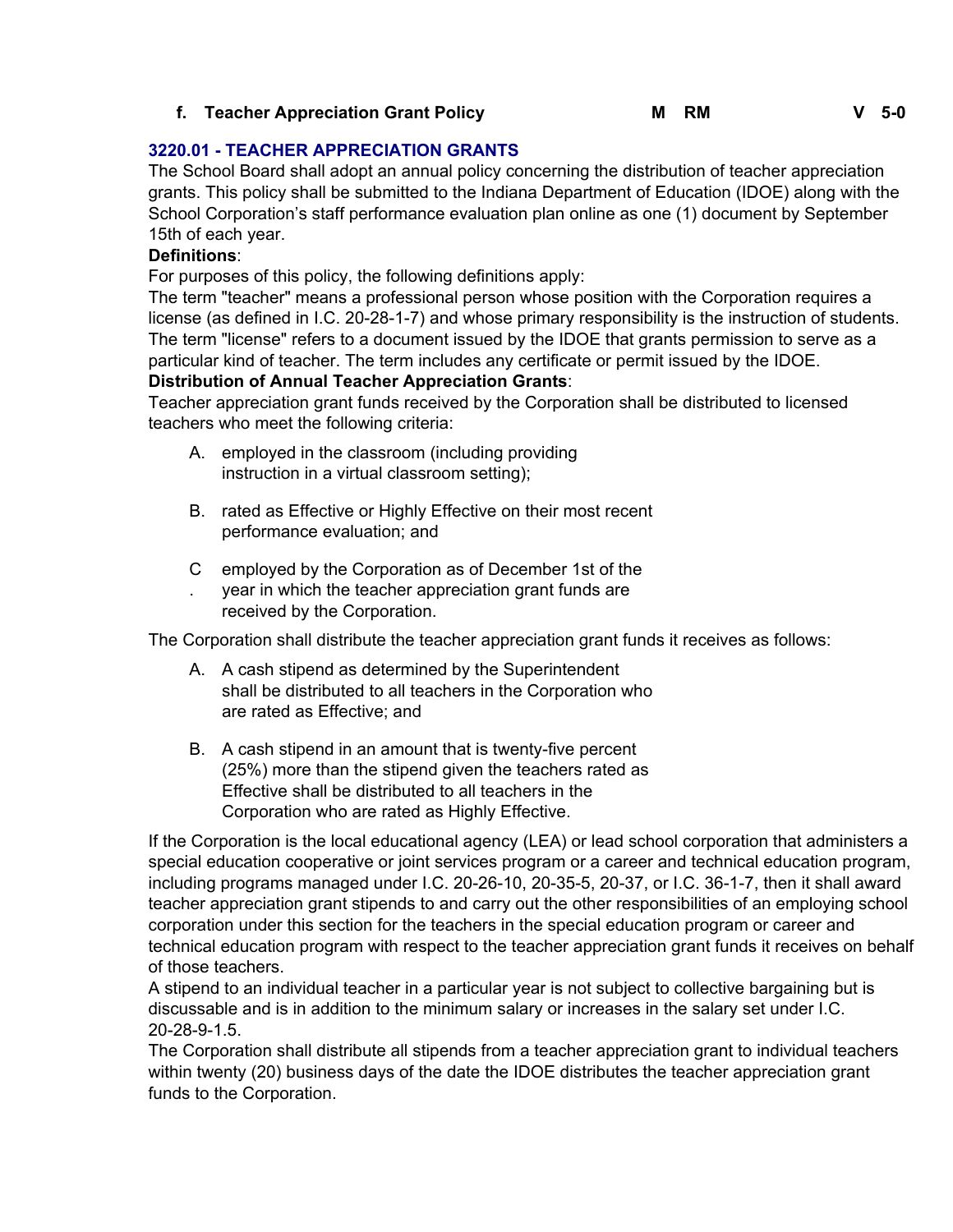# **f. Teacher Appreciation Grant Policy M RM V 5-0**

# **3220.01 - TEACHER APPRECIATION GRANTS**

The School Board shall adopt an annual policy concerning the distribution of teacher appreciation grants. This policy shall be submitted to the Indiana Department of Education (IDOE) along with the School Corporation's staff performance evaluation plan online as one (1) document by September 15th of each year.

# **Definitions**:

For purposes of this policy, the following definitions apply:

The term "teacher" means a professional person whose position with the Corporation requires a license (as defined in I.C. 20-28-1-7) and whose primary responsibility is the instruction of students. The term "license" refers to a document issued by the IDOE that grants permission to serve as a particular kind of teacher. The term includes any certificate or permit issued by the IDOE.

### **Distribution of Annual Teacher Appreciation Grants**:

Teacher appreciation grant funds received by the Corporation shall be distributed to licensed teachers who meet the following criteria:

- A. employed in the classroom (including providing instruction in a virtual classroom setting);
- B. rated as Effective or Highly Effective on their most recent performance evaluation; and
- C employed by the Corporation as of December 1st of the
- . year in which the teacher appreciation grant funds are received by the Corporation.

The Corporation shall distribute the teacher appreciation grant funds it receives as follows:

- A. A cash stipend as determined by the Superintendent shall be distributed to all teachers in the Corporation who are rated as Effective; and
- B. A cash stipend in an amount that is twenty-five percent (25%) more than the stipend given the teachers rated as Effective shall be distributed to all teachers in the Corporation who are rated as Highly Effective.

If the Corporation is the local educational agency (LEA) or lead school corporation that administers a special education cooperative or joint services program or a career and technical education program, including programs managed under I.C. 20-26-10, 20-35-5, 20-37, or I.C. 36-1-7, then it shall award teacher appreciation grant stipends to and carry out the other responsibilities of an employing school corporation under this section for the teachers in the special education program or career and technical education program with respect to the teacher appreciation grant funds it receives on behalf of those teachers.

A stipend to an individual teacher in a particular year is not subject to collective bargaining but is discussable and is in addition to the minimum salary or increases in the salary set under I.C. 20-28-9-1.5.

The Corporation shall distribute all stipends from a teacher appreciation grant to individual teachers within twenty (20) business days of the date the IDOE distributes the teacher appreciation grant funds to the Corporation.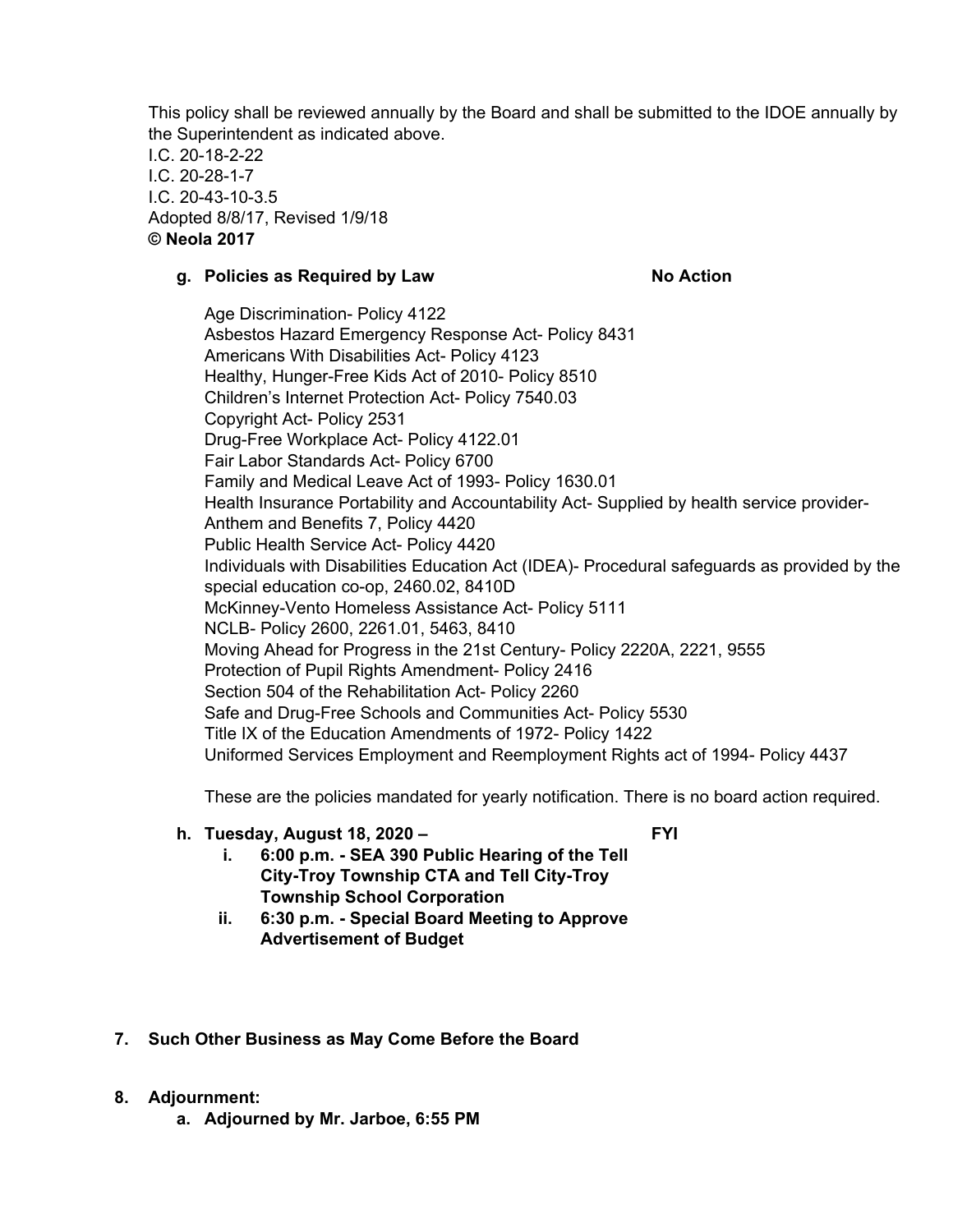This policy shall be reviewed annually by the Board and shall be submitted to the IDOE annually by the Superintendent as indicated above.

I.C. 20-18-2-22 I.C. 20-28-1-7 I.C. 20-43-10-3.5 Adopted 8/8/17, Revised 1/9/18 **© Neola 2017**

#### **g. Policies as Required by Law No Action**

Age Discrimination- Policy 4122 Asbestos Hazard Emergency Response Act- Policy 8431 Americans With Disabilities Act- Policy 4123 Healthy, Hunger-Free Kids Act of 2010- Policy 8510 Children's Internet Protection Act- Policy 7540.03 Copyright Act- Policy 2531 Drug-Free Workplace Act- Policy 4122.01 Fair Labor Standards Act- Policy 6700 Family and Medical Leave Act of 1993- Policy 1630.01 Health Insurance Portability and Accountability Act- Supplied by health service provider-Anthem and Benefits 7, Policy 4420 Public Health Service Act- Policy 4420 Individuals with Disabilities Education Act (IDEA)- Procedural safeguards as provided by the special education co-op, 2460.02, 8410D McKinney-Vento Homeless Assistance Act- Policy 5111 NCLB- Policy 2600, 2261.01, 5463, 8410 Moving Ahead for Progress in the 21st Century- Policy 2220A, 2221, 9555 Protection of Pupil Rights Amendment- Policy 2416 Section 504 of the Rehabilitation Act- Policy 2260 Safe and Drug-Free Schools and Communities Act- Policy 5530 Title IX of the Education Amendments of 1972- Policy 1422 Uniformed Services Employment and Reemployment Rights act of 1994- Policy 4437

These are the policies mandated for yearly notification. There is no board action required.

# **h. Tuesday, August 18, 2020 –**

**FYI**

- **i. 6:00 p.m. - SEA 390 Public Hearing of the Tell City-Troy Township CTA and Tell City-Troy Township School Corporation**
- **ii. 6:30 p.m. - Special Board Meeting to Approve Advertisement of Budget**
- **7. Such Other Business as May Come Before the Board**
- **8. Adjournment:**
	- **a. Adjourned by Mr. Jarboe, 6:55 PM**